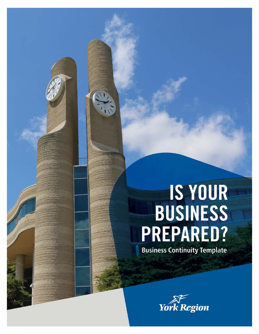# **IS YOUR<br>BUSINESS** PREPARED?

**Business Continuity Template** 

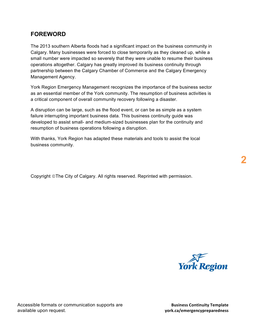# **FOREWORD**

 The 2013 southern Alberta floods had a significant impact on the business community in Calgary. Many businesses were forced to close temporarily as they cleaned up, while a small number were impacted so severely that they were unable to resume their business operations altogether. Calgary has greatly improved its business continuity through partnership between the Calgary Chamber of Commerce and the Calgary Emergency Management Agency.

 York Region Emergency Management recognizes the importance of the business sector as an essential member of the York community. The resumption of business activities is a critical component of overall community recovery following a disaster.

 A disruption can be large, such as the flood event, or can be as simple as a system failure interrupting important business data. This business continuity guide was resumption of business operations following a disruption. developed to assist small- and medium-sized businesses plan for the continuity and

 With thanks, York Region has adapted these materials and tools to assist the local business community.

Copyright ©The City of Calgary. All rights reserved. Reprinted with permission.



Accessible formats or communication supports are available upon request.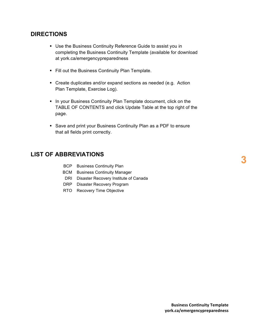## **DIRECTIONS**

- • Use the Business Continuity Reference Guide to assist you in completing the Business Continuity Template (available for download at york.ca/emergencypreparedness
- Fill out the Business Continuity Plan Template.
- • Create duplicates and/or expand sections as needed (e.g. Action Plan Template, Exercise Log).
- TABLE OF CONTENTS and click Update Table at the top right of the • In your Business Continuity Plan Template document, click on the page.
- • Save and print your Business Continuity Plan as a PDF to ensure that all fields print correctly.

## **LIST OF ABBREVIATIONS**

| BCP. |  | <b>Business Continuity Plan</b> |  |
|------|--|---------------------------------|--|
|------|--|---------------------------------|--|

- BCM Business Continuity Manager
- DRI Disaster Recovery Institute of Canada
- DRP Disaster Recovery Program
- RTO Recovery Time Objective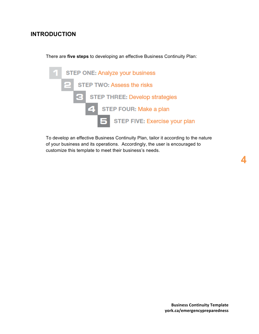# **INTRODUCTION**

There are **five steps** to developing an effective Business Continuity Plan:



 To develop an effective Business Continuity Plan, tailor it according to the nature of your business and its operations. Accordingly, the user is encouraged to customize this template to meet their business's needs.

**4**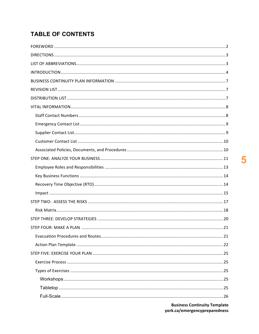# **TABLE OF CONTENTS**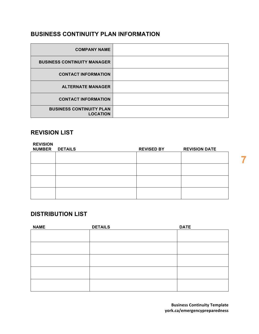# **BUSINESS CONTINUITY PLAN INFORMATION**

| <b>COMPANY NAME</b>                                |  |
|----------------------------------------------------|--|
| <b>BUSINESS CONTINUITY MANAGER</b>                 |  |
| <b>CONTACT INFORMATION</b>                         |  |
| <b>ALTERNATE MANAGER</b>                           |  |
| <b>CONTACT INFORMATION</b>                         |  |
| <b>BUSINESS CONTINUITY PLAN</b><br><b>LOCATION</b> |  |

## **REVISION LIST**

| <b>REVISION</b><br>NUMBER DETAILS | <b>REVISED BY</b> | <b>REVISION DATE</b> |
|-----------------------------------|-------------------|----------------------|
|                                   |                   |                      |
|                                   |                   |                      |
|                                   |                   |                      |
|                                   |                   |                      |

# **DISTRIBUTION LIST**

| <b>NAME</b> | <b>DETAILS</b> | <b>DATE</b> |
|-------------|----------------|-------------|
|             |                |             |
|             |                |             |
|             |                |             |
|             |                |             |
|             |                |             |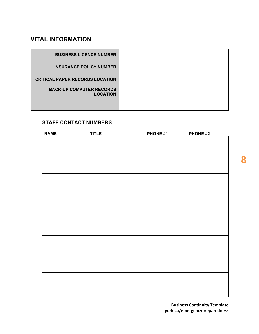# **VITAL INFORMATION**

| <b>BUSINESS LICENCE NUMBER</b>                     |  |
|----------------------------------------------------|--|
| <b>INSURANCE POLICY NUMBER</b>                     |  |
| <b>CRITICAL PAPER RECORDS LOCATION</b>             |  |
| <b>BACK-UP COMPUTER RECORDS</b><br><b>LOCATION</b> |  |
|                                                    |  |

#### **STAFF CONTACT NUMBERS**

| <b>NAME</b> | <b>TITLE</b> | PHONE #1 | PHONE #2 |
|-------------|--------------|----------|----------|
|             |              |          |          |
|             |              |          |          |
|             |              |          |          |
|             |              |          |          |
|             |              |          |          |
|             |              |          |          |
|             |              |          |          |
|             |              |          |          |
|             |              |          |          |
|             |              |          |          |
|             |              |          |          |
|             |              |          |          |
|             |              |          |          |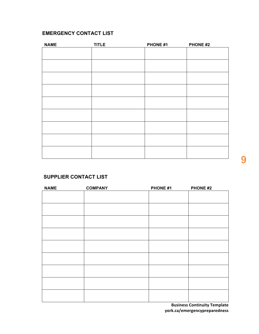## **EMERGENCY CONTACT LIST**

| <b>NAME</b> | <b>TITLE</b> | PHONE #1 | PHONE #2 |
|-------------|--------------|----------|----------|
|             |              |          |          |
|             |              |          |          |
|             |              |          |          |
|             |              |          |          |
|             |              |          |          |
|             |              |          |          |
|             |              |          |          |
|             |              |          |          |
|             |              |          |          |
|             |              |          |          |
|             |              |          |          |
|             |              |          |          |
|             |              |          |          |
|             |              |          |          |

## **SUPPLIER CONTACT LIST**

| <b>NAME</b> | <b>COMPANY</b> | PHONE #1 | <b>PHONE #2</b> |
|-------------|----------------|----------|-----------------|
|             |                |          |                 |
|             |                |          |                 |
|             |                |          |                 |
|             |                |          |                 |
|             |                |          |                 |
|             |                |          |                 |
|             |                |          |                 |
|             |                |          |                 |
|             |                |          |                 |
|             |                |          |                 |
|             |                |          |                 |
|             |                |          |                 |
|             |                |          |                 |
|             |                |          |                 |
|             |                |          |                 |
|             |                |          |                 |
|             |                |          |                 |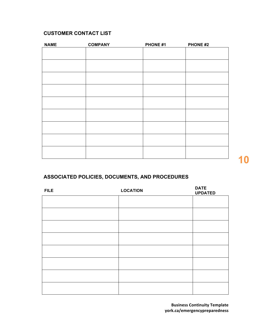## **CUSTOMER CONTACT LIST**

| <b>NAME</b> | <b>COMPANY</b> | PHONE #1 | PHONE #2 |
|-------------|----------------|----------|----------|
|             |                |          |          |
|             |                |          |          |
|             |                |          |          |
|             |                |          |          |
|             |                |          |          |
|             |                |          |          |
|             |                |          |          |
|             |                |          |          |
|             |                |          |          |
|             |                |          |          |
|             |                |          |          |
|             |                |          |          |
|             |                |          |          |
|             |                |          |          |
|             |                |          |          |
|             |                |          |          |

# **ASSOCIATED POLICIES, DOCUMENTS, AND PROCEDURES**

| <b>FILE</b> | <b>LOCATION</b> | <b>DATE</b><br><b>UPDATED</b> |
|-------------|-----------------|-------------------------------|
|             |                 |                               |
|             |                 |                               |
|             |                 |                               |
|             |                 |                               |
|             |                 |                               |
|             |                 |                               |
|             |                 |                               |
|             |                 |                               |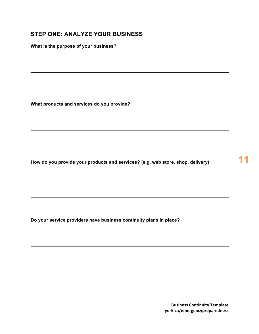# **STEP ONE: ANALYZE YOUR BUSINESS**

 **What is the purpose of your business?** 

 **What products and services do you provide?** 

 **How do you provide your products and services? (e.g. web store, shop, delivery) 11** 

 **Do your service providers have business continuity plans in place?**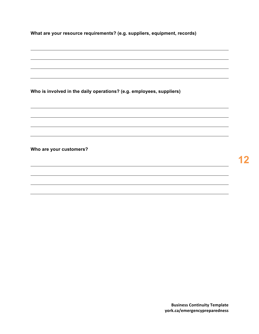**What are your resource requirements? (e.g. suppliers, equipment, records)** 

 **Who is involved in the daily operations? (e.g. employees, suppliers)** 

 **Who are your customers?**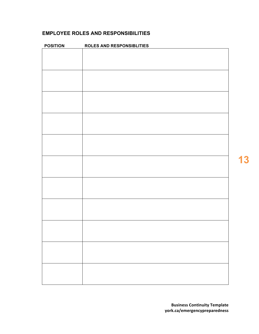## **EMPLOYEE ROLES AND RESPONSIBILITIES**

| <b>POSITION</b> | <b>ROLES AND RESPONSIBLITIES</b> |
|-----------------|----------------------------------|
|                 |                                  |
|                 |                                  |
|                 |                                  |
|                 |                                  |
|                 |                                  |
|                 |                                  |
|                 |                                  |
|                 |                                  |
|                 |                                  |
|                 |                                  |
|                 |                                  |
|                 |                                  |
|                 |                                  |
|                 |                                  |
|                 |                                  |
|                 |                                  |
|                 |                                  |
|                 |                                  |
|                 |                                  |
|                 |                                  |
|                 |                                  |
|                 |                                  |

**13**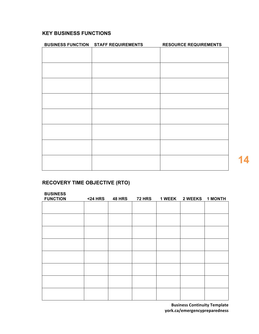## **KEY BUSINESS FUNCTIONS**

| <b>BUSINESS FUNCTION STAFF REQUIREMENTS</b> | <b>RESOURCE REQUIREMENTS</b> |
|---------------------------------------------|------------------------------|
|                                             |                              |
|                                             |                              |
|                                             |                              |
|                                             |                              |
|                                             |                              |
|                                             |                              |
|                                             |                              |
|                                             |                              |
|                                             |                              |
|                                             |                              |
|                                             |                              |
|                                             |                              |
|                                             |                              |
|                                             |                              |
|                                             |                              |
|                                             |                              |
|                                             |                              |
|                                             |                              |
|                                             |                              |
|                                             |                              |
|                                             |                              |

# **RECOVERY TIME OBJECTIVE (RTO)**

| <b>BUSINESS</b><br><b>FUNCTION</b> | <b>&lt;24 HRS</b> | <b>48 HRS</b> | <b>72 HRS</b> | 1 WEEK 2 WEEKS 1 MONTH |  |
|------------------------------------|-------------------|---------------|---------------|------------------------|--|
|                                    |                   |               |               |                        |  |
|                                    |                   |               |               |                        |  |
|                                    |                   |               |               |                        |  |
|                                    |                   |               |               |                        |  |
|                                    |                   |               |               |                        |  |
|                                    |                   |               |               |                        |  |
|                                    |                   |               |               |                        |  |
|                                    |                   |               |               |                        |  |
|                                    |                   |               |               |                        |  |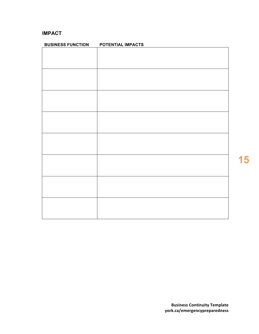## **IMPACT**

| <b>BUSINESS FUNCTION</b> | POTENTIAL IMPACTS |
|--------------------------|-------------------|
|                          |                   |
|                          |                   |
|                          |                   |
|                          |                   |
|                          |                   |
|                          |                   |
|                          |                   |
|                          |                   |
|                          |                   |
|                          |                   |
|                          |                   |
|                          |                   |
|                          |                   |
|                          |                   |
|                          |                   |
|                          |                   |
|                          |                   |
|                          |                   |
|                          |                   |
|                          |                   |
|                          |                   |
|                          |                   |
|                          |                   |
|                          |                   |
|                          |                   |
|                          |                   |
|                          |                   |
|                          |                   |

**15**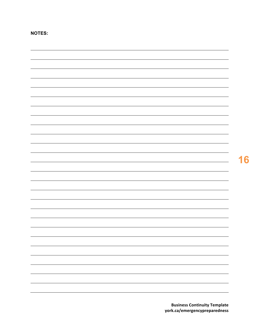**NOTES:**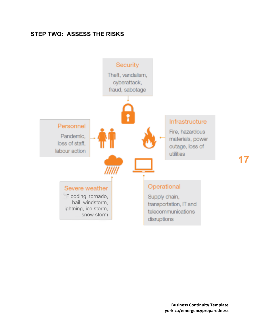# **STEP TWO: ASSESS THE RISKS**

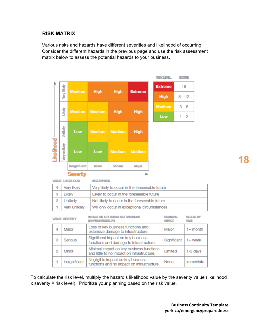## **RISK MATRIX**

 Various risks and hazards have different severities and likelihood of occurring. Consider the different hazards in the previous page and use the risk assessment matrix below to assess the potential hazards to your business.

|                |                    |                         |                                                                                                  |                                         |                                                                                        |             | <b>RISK LEVEL</b>                  | <b><i>BIODIRE</i></b> |                         |           |
|----------------|--------------------|-------------------------|--------------------------------------------------------------------------------------------------|-----------------------------------------|----------------------------------------------------------------------------------------|-------------|------------------------------------|-----------------------|-------------------------|-----------|
|                | <b>Very likely</b> | <b>Medium</b>           | <b>High</b>                                                                                      | <b>High</b>                             | <b>Extreme</b>                                                                         |             | <b>Extreme</b>                     | 16                    |                         |           |
|                |                    |                         |                                                                                                  |                                         |                                                                                        | <b>High</b> | $8 - 12$                           |                       |                         |           |
|                | Likely             |                         |                                                                                                  |                                         |                                                                                        |             | <b>Medium</b>                      | $3 - 6$               |                         |           |
|                |                    | <b>Medium</b>           | <b>Medium</b>                                                                                    | <b>High</b>                             | <b>High</b>                                                                            |             | Low                                | $1 - 2$               |                         |           |
|                | Jnlikely           | Low                     | <b>Medium</b>                                                                                    | <b>Medium</b>                           | <b>High</b>                                                                            |             |                                    |                       |                         |           |
| <b>Doome</b>   | Very unlikely      | Low                     | Low                                                                                              | <b>Medium</b>                           | <b>Medium</b>                                                                          |             |                                    |                       |                         |           |
|                |                    | Insignificant           | <b>Minor</b>                                                                                     | <b>Serious</b>                          | <b>Major</b>                                                                           |             |                                    |                       |                         |           |
|                |                    | <b>Severity</b>         |                                                                                                  |                                         |                                                                                        |             |                                    |                       |                         |           |
|                |                    | <b>VALUE LIKELIHOOD</b> | <b>MEXICAL SUITOR</b>                                                                            |                                         |                                                                                        |             |                                    |                       |                         |           |
| 4              |                    | Very likely             |                                                                                                  |                                         | Very likely to occur in the foreseeable future                                         |             |                                    |                       |                         |           |
| 3              |                    | Likely                  |                                                                                                  |                                         | Likely to occur in the foreseeable future                                              |             |                                    |                       |                         |           |
| $\overline{2}$ |                    | Unlikely                |                                                                                                  |                                         | Not likely to occur in the foreseeable future                                          |             |                                    |                       |                         |           |
| 1              |                    | Very unlikely           |                                                                                                  |                                         | Will only occur in exceptional circumstances                                           |             |                                    |                       |                         |           |
|                |                    | <b>VALUE SEVERITY</b>   | <b>&amp;INFRASTRUCTURE</b>                                                                       | <b>IMPACT ON KEY BUSINESS FUNCTIONS</b> |                                                                                        |             | <b>FINANCIAL</b><br><b>IM FACT</b> |                       | <b>HECCVEHY</b><br>TIME |           |
| 4              |                    | Major                   | Loss of key business functions and<br>$1+$ month<br>Major<br>extensive damage to infrastructure. |                                         |                                                                                        |             |                                    |                       |                         |           |
| 3              |                    | <b>Serious</b>          |                                                                                                  | Significant impact on key business      | functions and damage to infrastructure.                                                |             | Significant                        |                       | $1+$ week               |           |
| $\overline{2}$ |                    | Minor                   |                                                                                                  |                                         | Minimal impact on key business functions<br>and little to no impact on infrastructure. |             | Limited                            |                       | 1-3 days                |           |
| 1              |                    | Insignificant           |                                                                                                  | Negligible impact on key business       | functions and no impact on infrastructure.                                             |             | None                               |                       |                         | Immediate |

 To calculate the risk level, multiply the hazard's likelihood value by the severity value (likelihood x severity = risk level). Prioritize your planning based on the risk value.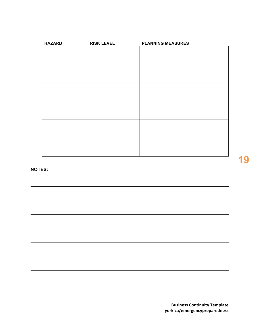| <b>HAZARD</b> | <b>RISK LEVEL</b> | <b>PLANNING MEASURES</b> |
|---------------|-------------------|--------------------------|
|               |                   |                          |
|               |                   |                          |
|               |                   |                          |
|               |                   |                          |
|               |                   |                          |
|               |                   |                          |
|               |                   |                          |
|               |                   |                          |
|               |                   |                          |
|               |                   |                          |
|               |                   |                          |
|               |                   |                          |
|               |                   |                          |

**NOTES:**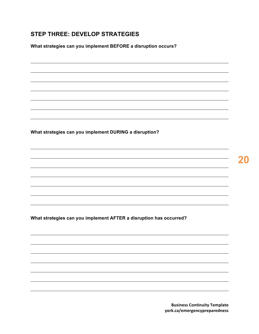# **STEP THREE: DEVELOP STRATEGIES**

 **What strategies can you implement BEFORE a disruption occurs?** 

 **What strategies can you implement DURING a disruption?** 

**20** 

 **What strategies can you implement AFTER a disruption has occurred?**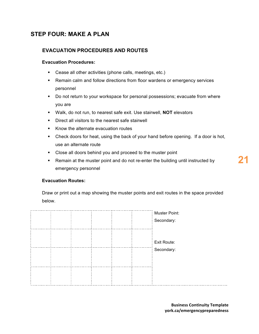# **STEP FOUR: MAKE A PLAN**

## **EVACUATION PROCEDURES AND ROUTES**

#### **Evacuation Procedures:**

- Cease all other activities (phone calls, meetings, etc.)
- • Remain calm and follow directions from floor wardens or emergency services personnel
- • Do not return to your workspace for personal possessions; evacuate from where you are
- Walk, do not run, to nearest safe exit. Use stairwell, **NOT** elevators
- Direct all visitors to the nearest safe stairwell
- Know the alternate evacuation routes
- • Check doors for heat, using the back of your hand before opening. If a door is hot, use an alternate route
- Close all doors behind you and proceed to the muster point
- • Remain at the muster point and do not re-enter the building until instructed by emergency personnel

#### **Evacuation Routes:**

 Draw or print out a map showing the muster points and exit routes in the space provided below.

|  |  |  | Muster Point:<br>Secondary: |
|--|--|--|-----------------------------|
|  |  |  | Exit Route:                 |
|  |  |  | Secondary:                  |
|  |  |  |                             |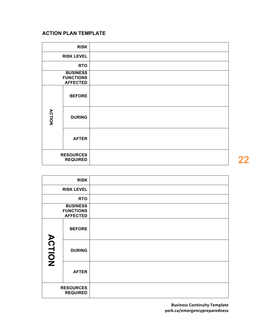## **ACTION PLAN TEMPLATE**

|                                     | <b>RISK</b>                                            |  |
|-------------------------------------|--------------------------------------------------------|--|
|                                     | <b>RISK LEVEL</b>                                      |  |
|                                     | <b>RTO</b>                                             |  |
|                                     | <b>BUSINESS</b><br><b>FUNCTIONS</b><br><b>AFFECTED</b> |  |
|                                     | <b>BEFORE</b>                                          |  |
| <b>ACTION</b>                       | <b>DURING</b>                                          |  |
|                                     | <b>AFTER</b>                                           |  |
| <b>RESOURCES</b><br><b>REQUIRED</b> |                                                        |  |

| <b>RISK</b>                                            |                   |  |
|--------------------------------------------------------|-------------------|--|
|                                                        | <b>RISK LEVEL</b> |  |
|                                                        | <b>RTO</b>        |  |
| <b>BUSINESS</b><br><b>FUNCTIONS</b><br><b>AFFECTED</b> |                   |  |
|                                                        | <b>BEFORE</b>     |  |
| <b>ACTION</b>                                          | <b>DURING</b>     |  |
|                                                        | <b>AFTER</b>      |  |
| <b>RESOURCES</b><br><b>REQUIRED</b>                    |                   |  |

**22**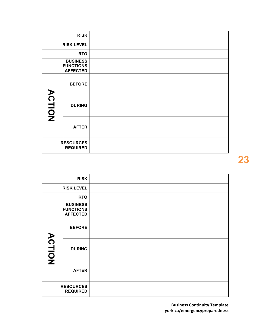|                                     | <b>RISK</b>                                            |  |
|-------------------------------------|--------------------------------------------------------|--|
|                                     | <b>RISK LEVEL</b>                                      |  |
|                                     | <b>RTO</b>                                             |  |
|                                     | <b>BUSINESS</b><br><b>FUNCTIONS</b><br><b>AFFECTED</b> |  |
|                                     | <b>BEFORE</b>                                          |  |
| <b>ACTION</b>                       | <b>DURING</b>                                          |  |
|                                     | <b>AFTER</b>                                           |  |
| <b>RESOURCES</b><br><b>REQUIRED</b> |                                                        |  |

|                                     | <b>RISK</b>                                            |  |
|-------------------------------------|--------------------------------------------------------|--|
|                                     | <b>RISK LEVEL</b>                                      |  |
|                                     | <b>RTO</b>                                             |  |
|                                     | <b>BUSINESS</b><br><b>FUNCTIONS</b><br><b>AFFECTED</b> |  |
|                                     | <b>BEFORE</b>                                          |  |
| <b>ACTION</b>                       | <b>DURING</b>                                          |  |
|                                     | <b>AFTER</b>                                           |  |
| <b>RESOURCES</b><br><b>REQUIRED</b> |                                                        |  |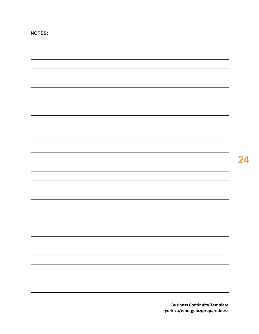| <b>Business Continuity Template</b> |
|-------------------------------------|
| york.ca/emergencypreparedness       |

**NOTES:**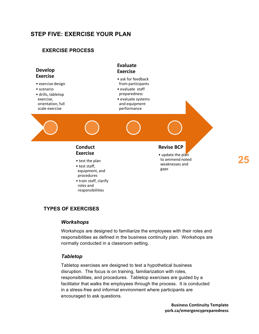# **STEP FIVE: EXERCISE YOUR PLAN**

## **EXERCISE PROCESS**



## **TYPES OF EXERCISES**

#### *Workshops*

 Workshops are designed to familiarize the employees with their roles and responsibilities as defined in the business continuity plan. Workshops are normally conducted in a classroom setting.

#### *Tabletop*

 Tabletop exercises are designed to test a hypothetical business disruption. The focus is on training, familiarization with roles, responsibilities, and procedures. Tabletop exercises are guided by a in a stress-free and informal environment where participants are facilitator that walks the employees through the process. It is conducted encouraged to ask questions.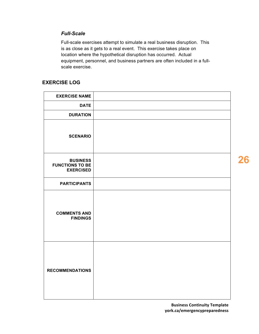#### *Full-Scale*

 Full-scale exercises attempt to simulate a real business disruption. This is as close as it gets to a real event. This exercise takes place on location where the hypothetical disruption has occurred. Actual equipment, personnel, and business partners are often included in a fullscale exercise.

## **EXERCISE LOG**

| <b>EXERCISE NAME</b>                                          |  |
|---------------------------------------------------------------|--|
| <b>DATE</b>                                                   |  |
| <b>DURATION</b>                                               |  |
| <b>SCENARIO</b>                                               |  |
| <b>BUSINESS</b><br><b>FUNCTIONS TO BE</b><br><b>EXERCISED</b> |  |
| <b>PARTICIPANTS</b>                                           |  |
| <b>COMMENTS AND</b><br><b>FINDINGS</b>                        |  |
| <b>RECOMMENDATIONS</b>                                        |  |

**26**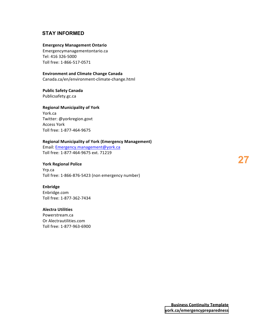## **STAY INFORMED**

#### **Emergency Management Ontario**

 Toll free: 1-866-517-0571 [Emergencymanagementontario.ca](http:Emergencymanagementontario.ca) Tel: 416 326-5000

#### **Environment and Climate Change Canada**

Canada.ca/en/environment-climate-change.html

#### **Public Safety Canada**

[Publicsafety.gc.ca](http:Publicsafety.gc.ca)

#### **Regional Municipality of York**

 Toll free: 1-877-464-9675 York.ca Twitter: @yorkregion.govt Access York

#### **Regional Municipality of York (Emergency Management)**

 Toll free: 1-877-464-9675 ext. 71219 Email: [Emergency.management@york.ca](mailto:Emergency.management@york.ca)

#### **York Regional Police**

Toll free: 1-866-876-5423 (non emergency number) Yrp.ca

#### **Enbridge**

 Toll free: 1-877-362-7434 [Enbridge.com](http:Enbridge.com)

#### **Alectra Utilities**

 Toll free: 1-877-963-6900 [Powerstream.ca](http:Powerstream.ca) Or [Alectrautilities.com](http:Alectrautilities.com)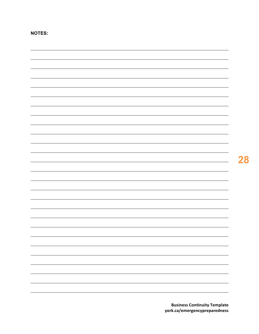| $\overline{\phantom{0}}$ |
|--------------------------|
|                          |